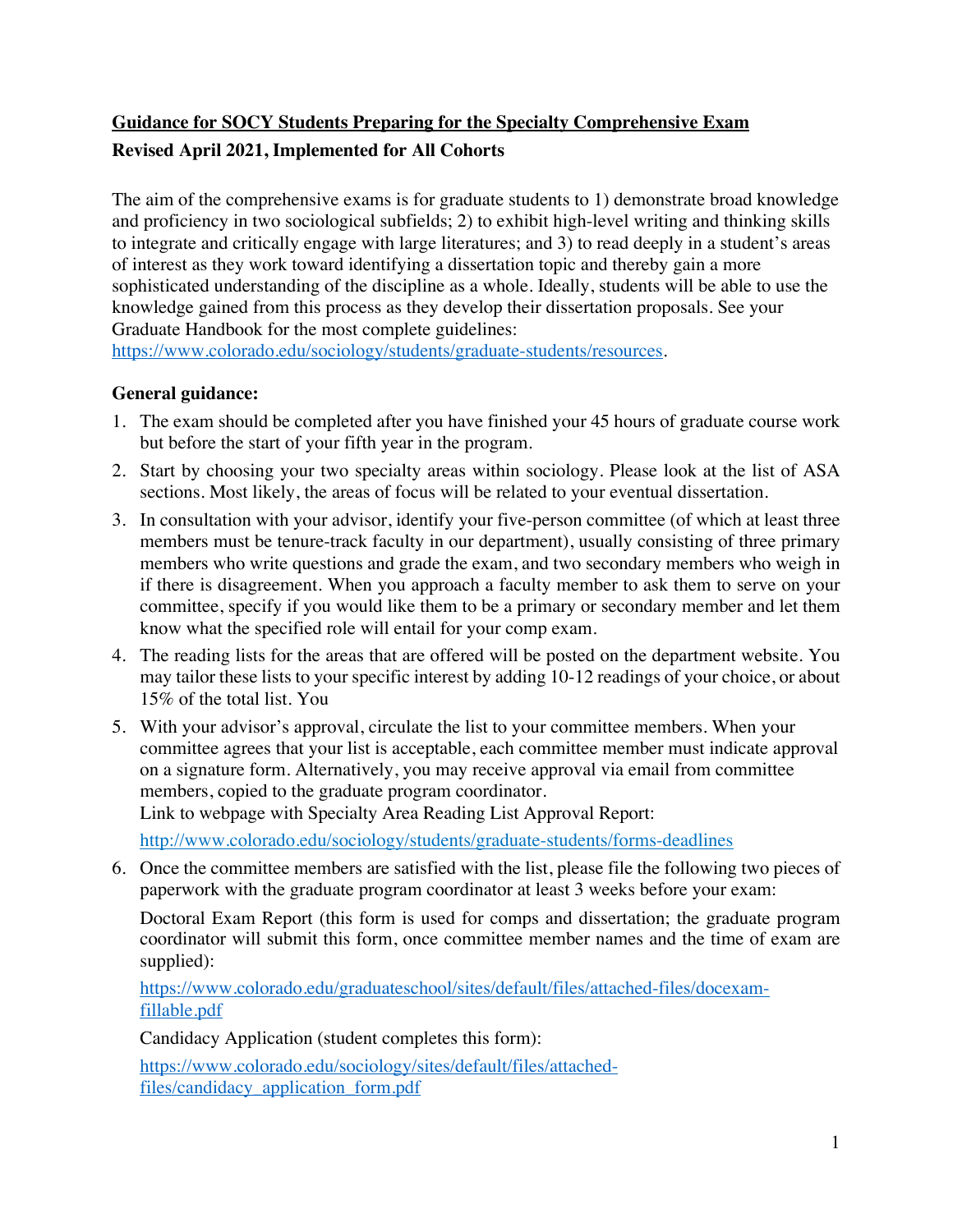# **Guidance for SOCY Students Preparing for the Specialty Comprehensive Exam Revised April 2021, Implemented for All Cohorts**

The aim of the comprehensive exams is for graduate students to 1) demonstrate broad knowledge and proficiency in two sociological subfields; 2) to exhibit high-level writing and thinking skills to integrate and critically engage with large literatures; and 3) to read deeply in a student's areas of interest as they work toward identifying a dissertation topic and thereby gain a more sophisticated understanding of the discipline as a whole. Ideally, students will be able to use the knowledge gained from this process as they develop their dissertation proposals. See your Graduate Handbook for the most complete guidelines:

https://www.colorado.edu/sociology/students/graduate-students/resources.

### **General guidance:**

- 1. The exam should be completed after you have finished your 45 hours of graduate course work but before the start of your fifth year in the program.
- 2. Start by choosing your two specialty areas within sociology. Please look at the list of ASA sections. Most likely, the areas of focus will be related to your eventual dissertation.
- 3. In consultation with your advisor, identify your five-person committee (of which at least three members must be tenure-track faculty in our department), usually consisting of three primary members who write questions and grade the exam, and two secondary members who weigh in if there is disagreement. When you approach a faculty member to ask them to serve on your committee, specify if you would like them to be a primary or secondary member and let them know what the specified role will entail for your comp exam.
- 4. The reading lists for the areas that are offered will be posted on the department website. You may tailor these lists to your specific interest by adding 10-12 readings of your choice, or about 15% of the total list. You
- 5. With your advisor's approval, circulate the list to your committee members. When your committee agrees that your list is acceptable, each committee member must indicate approval on a signature form. Alternatively, you may receive approval via email from committee members, copied to the graduate program coordinator. Link to webpage with Specialty Area Reading List Approval Report:

http://www.colorado.edu/sociology/students/graduate-students/forms-deadlines

6. Once the committee members are satisfied with the list, please file the following two pieces of paperwork with the graduate program coordinator at least 3 weeks before your exam:

Doctoral Exam Report (this form is used for comps and dissertation; the graduate program coordinator will submit this form, once committee member names and the time of exam are supplied):

https://www.colorado.edu/graduateschool/sites/default/files/attached-files/docexamfillable.pdf

Candidacy Application (student completes this form):

https://www.colorado.edu/sociology/sites/default/files/attachedfiles/candidacy\_application\_form.pdf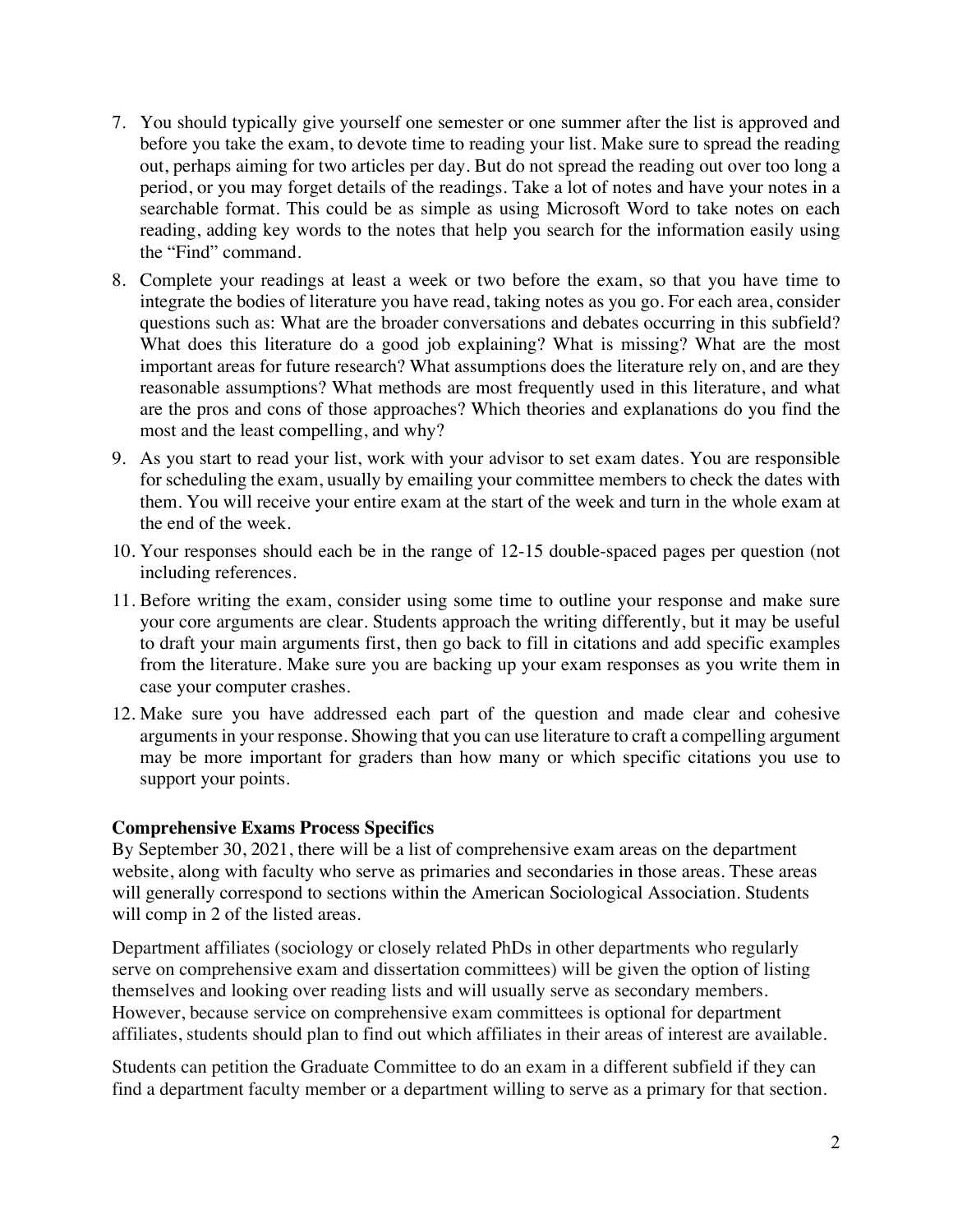- 7. You should typically give yourself one semester or one summer after the list is approved and before you take the exam, to devote time to reading your list. Make sure to spread the reading out, perhaps aiming for two articles per day. But do not spread the reading out over too long a period, or you may forget details of the readings. Take a lot of notes and have your notes in a searchable format. This could be as simple as using Microsoft Word to take notes on each reading, adding key words to the notes that help you search for the information easily using the "Find" command.
- 8. Complete your readings at least a week or two before the exam, so that you have time to integrate the bodies of literature you have read, taking notes as you go. For each area, consider questions such as: What are the broader conversations and debates occurring in this subfield? What does this literature do a good job explaining? What is missing? What are the most important areas for future research? What assumptions does the literature rely on, and are they reasonable assumptions? What methods are most frequently used in this literature, and what are the pros and cons of those approaches? Which theories and explanations do you find the most and the least compelling, and why?
- 9. As you start to read your list, work with your advisor to set exam dates. You are responsible for scheduling the exam, usually by emailing your committee members to check the dates with them. You will receive your entire exam at the start of the week and turn in the whole exam at the end of the week.
- 10. Your responses should each be in the range of 12-15 double-spaced pages per question (not including references.
- 11. Before writing the exam, consider using some time to outline your response and make sure your core arguments are clear. Students approach the writing differently, but it may be useful to draft your main arguments first, then go back to fill in citations and add specific examples from the literature. Make sure you are backing up your exam responses as you write them in case your computer crashes.
- 12. Make sure you have addressed each part of the question and made clear and cohesive arguments in your response. Showing that you can use literature to craft a compelling argument may be more important for graders than how many or which specific citations you use to support your points.

#### **Comprehensive Exams Process Specifics**

By September 30, 2021, there will be a list of comprehensive exam areas on the department website, along with faculty who serve as primaries and secondaries in those areas. These areas will generally correspond to sections within the American Sociological Association. Students will comp in 2 of the listed areas.

Department affiliates (sociology or closely related PhDs in other departments who regularly serve on comprehensive exam and dissertation committees) will be given the option of listing themselves and looking over reading lists and will usually serve as secondary members. However, because service on comprehensive exam committees is optional for department affiliates, students should plan to find out which affiliates in their areas of interest are available.

Students can petition the Graduate Committee to do an exam in a different subfield if they can find a department faculty member or a department willing to serve as a primary for that section.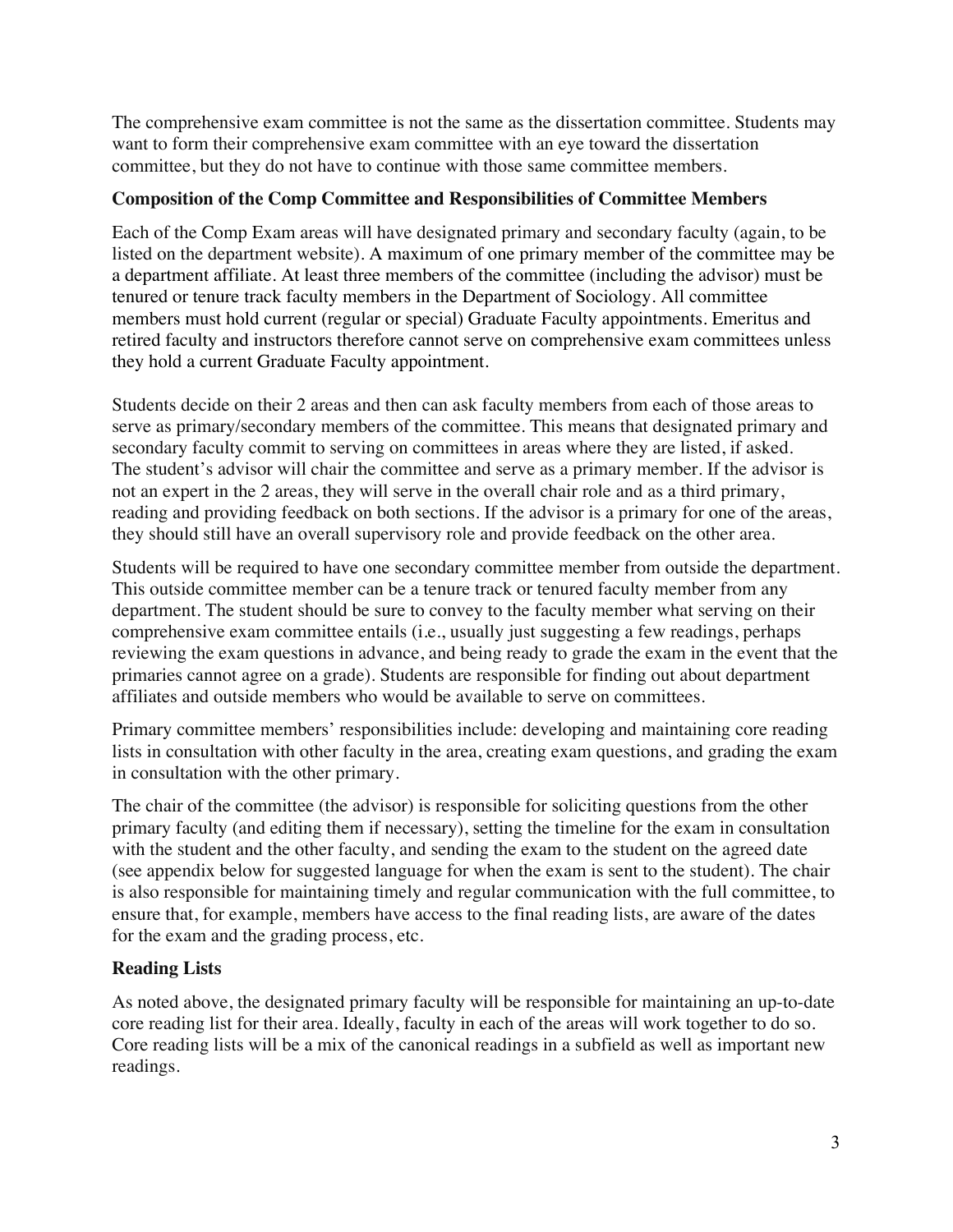The comprehensive exam committee is not the same as the dissertation committee. Students may want to form their comprehensive exam committee with an eye toward the dissertation committee, but they do not have to continue with those same committee members.

#### **Composition of the Comp Committee and Responsibilities of Committee Members**

Each of the Comp Exam areas will have designated primary and secondary faculty (again, to be listed on the department website). A maximum of one primary member of the committee may be a department affiliate. At least three members of the committee (including the advisor) must be tenured or tenure track faculty members in the Department of Sociology. All committee members must hold current (regular or special) Graduate Faculty appointments. Emeritus and retired faculty and instructors therefore cannot serve on comprehensive exam committees unless they hold a current Graduate Faculty appointment.

Students decide on their 2 areas and then can ask faculty members from each of those areas to serve as primary/secondary members of the committee. This means that designated primary and secondary faculty commit to serving on committees in areas where they are listed, if asked. The student's advisor will chair the committee and serve as a primary member. If the advisor is not an expert in the 2 areas, they will serve in the overall chair role and as a third primary, reading and providing feedback on both sections. If the advisor is a primary for one of the areas, they should still have an overall supervisory role and provide feedback on the other area.

Students will be required to have one secondary committee member from outside the department. This outside committee member can be a tenure track or tenured faculty member from any department. The student should be sure to convey to the faculty member what serving on their comprehensive exam committee entails (i.e., usually just suggesting a few readings, perhaps reviewing the exam questions in advance, and being ready to grade the exam in the event that the primaries cannot agree on a grade). Students are responsible for finding out about department affiliates and outside members who would be available to serve on committees.

Primary committee members' responsibilities include: developing and maintaining core reading lists in consultation with other faculty in the area, creating exam questions, and grading the exam in consultation with the other primary.

The chair of the committee (the advisor) is responsible for soliciting questions from the other primary faculty (and editing them if necessary), setting the timeline for the exam in consultation with the student and the other faculty, and sending the exam to the student on the agreed date (see appendix below for suggested language for when the exam is sent to the student). The chair is also responsible for maintaining timely and regular communication with the full committee, to ensure that, for example, members have access to the final reading lists, are aware of the dates for the exam and the grading process, etc.

#### **Reading Lists**

As noted above, the designated primary faculty will be responsible for maintaining an up-to-date core reading list for their area. Ideally, faculty in each of the areas will work together to do so. Core reading lists will be a mix of the canonical readings in a subfield as well as important new readings.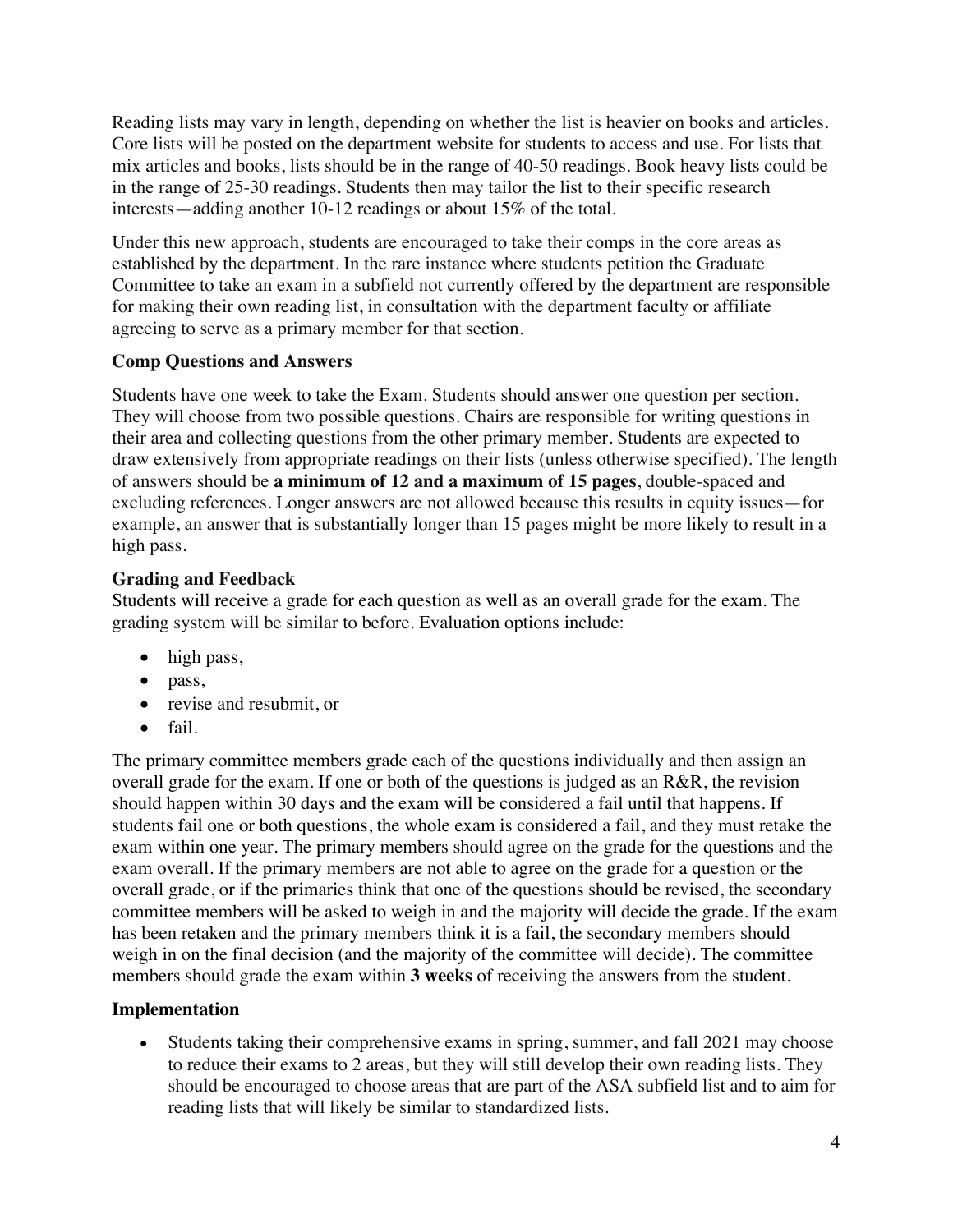Reading lists may vary in length, depending on whether the list is heavier on books and articles. Core lists will be posted on the department website for students to access and use. For lists that mix articles and books, lists should be in the range of 40-50 readings. Book heavy lists could be in the range of 25-30 readings. Students then may tailor the list to their specific research interests—adding another 10-12 readings or about 15% of the total.

Under this new approach, students are encouraged to take their comps in the core areas as established by the department. In the rare instance where students petition the Graduate Committee to take an exam in a subfield not currently offered by the department are responsible for making their own reading list, in consultation with the department faculty or affiliate agreeing to serve as a primary member for that section.

### **Comp Questions and Answers**

Students have one week to take the Exam. Students should answer one question per section. They will choose from two possible questions. Chairs are responsible for writing questions in their area and collecting questions from the other primary member. Students are expected to draw extensively from appropriate readings on their lists (unless otherwise specified). The length of answers should be **a minimum of 12 and a maximum of 15 pages**, double-spaced and excluding references. Longer answers are not allowed because this results in equity issues—for example, an answer that is substantially longer than 15 pages might be more likely to result in a high pass.

### **Grading and Feedback**

Students will receive a grade for each question as well as an overall grade for the exam. The grading system will be similar to before. Evaluation options include:

- high pass,
- pass,
- revise and resubmit, or
- fail.

The primary committee members grade each of the questions individually and then assign an overall grade for the exam. If one or both of the questions is judged as an R&R, the revision should happen within 30 days and the exam will be considered a fail until that happens. If students fail one or both questions, the whole exam is considered a fail, and they must retake the exam within one year. The primary members should agree on the grade for the questions and the exam overall. If the primary members are not able to agree on the grade for a question or the overall grade, or if the primaries think that one of the questions should be revised, the secondary committee members will be asked to weigh in and the majority will decide the grade. If the exam has been retaken and the primary members think it is a fail, the secondary members should weigh in on the final decision (and the majority of the committee will decide). The committee members should grade the exam within **3 weeks** of receiving the answers from the student.

### **Implementation**

• Students taking their comprehensive exams in spring, summer, and fall 2021 may choose to reduce their exams to 2 areas, but they will still develop their own reading lists. They should be encouraged to choose areas that are part of the ASA subfield list and to aim for reading lists that will likely be similar to standardized lists.